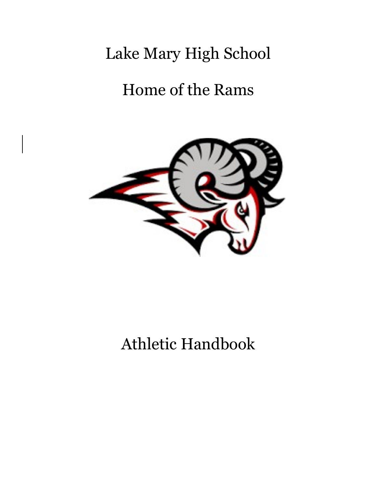# Lake Mary High School

# Home of the Rams



# Athletic Handbook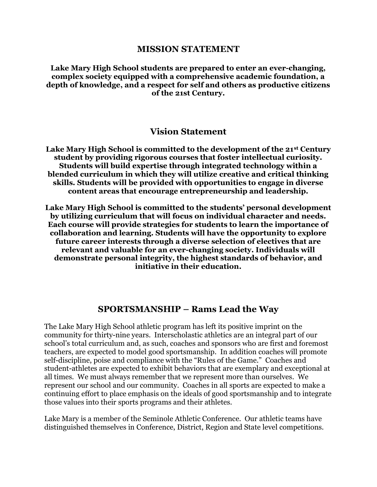#### MISSION STATEMENT

Lake Mary High School students are prepared to enter an ever-changing, complex society equipped with a comprehensive academic foundation, a depth of knowledge, and a respect for self and others as productive citizens of the 21st Century.

#### Vision Statement

Lake Mary High School is committed to the development of the 21st Century student by providing rigorous courses that foster intellectual curiosity. Students will build expertise through integrated technology within a blended curriculum in which they will utilize creative and critical thinking skills. Students will be provided with opportunities to engage in diverse content areas that encourage entrepreneurship and leadership.

Lake Mary High School is committed to the students' personal development by utilizing curriculum that will focus on individual character and needs. Each course will provide strategies for students to learn the importance of collaboration and learning. Students will have the opportunity to explore future career interests through a diverse selection of electives that are relevant and valuable for an ever-changing society. Individuals will demonstrate personal integrity, the highest standards of behavior, and initiative in their education.

#### SPORTSMANSHIP – Rams Lead the Way

The Lake Mary High School athletic program has left its positive imprint on the community for thirty-nine years. Interscholastic athletics are an integral part of our school's total curriculum and, as such, coaches and sponsors who are first and foremost teachers, are expected to model good sportsmanship. In addition coaches will promote self-discipline, poise and compliance with the "Rules of the Game." Coaches and student-athletes are expected to exhibit behaviors that are exemplary and exceptional at all times. We must always remember that we represent more than ourselves. We represent our school and our community. Coaches in all sports are expected to make a continuing effort to place emphasis on the ideals of good sportsmanship and to integrate those values into their sports programs and their athletes.

Lake Mary is a member of the Seminole Athletic Conference. Our athletic teams have distinguished themselves in Conference, District, Region and State level competitions.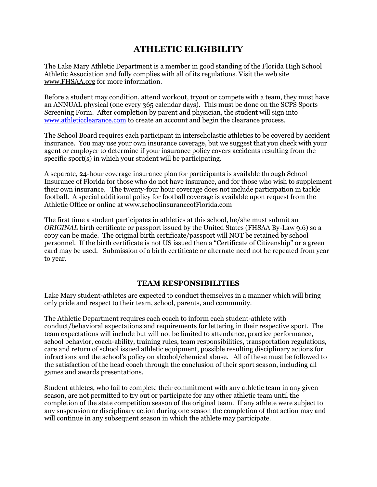## ATHLETIC ELIGIBILITY

The Lake Mary Athletic Department is a member in good standing of the Florida High School Athletic Association and fully complies with all of its regulations. Visit the web site www.FHSAA.org for more information.

Before a student may condition, attend workout, tryout or compete with a team, they must have an ANNUAL physical (one every 365 calendar days). This must be done on the SCPS Sports Screening Form. After completion by parent and physician, the student will sign into www.athleticclearance.com to create an account and begin the clearance process.

The School Board requires each participant in interscholastic athletics to be covered by accident insurance. You may use your own insurance coverage, but we suggest that you check with your agent or employer to determine if your insurance policy covers accidents resulting from the specific sport(s) in which your student will be participating.

A separate, 24-hour coverage insurance plan for participants is available through School Insurance of Florida for those who do not have insurance, and for those who wish to supplement their own insurance. The twenty-four hour coverage does not include participation in tackle football. A special additional policy for football coverage is available upon request from the Athletic Office or online at www.schoolinsuranceofFlorida.com

The first time a student participates in athletics at this school, he/she must submit an ORIGINAL birth certificate or passport issued by the United States (FHSAA By-Law 9.6) so a copy can be made. The original birth certificate/passport will NOT be retained by school personnel. If the birth certificate is not US issued then a "Certificate of Citizenship" or a green card may be used. Submission of a birth certificate or alternate need not be repeated from year to year.

#### TEAM RESPONSIBILITIES

Lake Mary student-athletes are expected to conduct themselves in a manner which will bring only pride and respect to their team, school, parents, and community.

The Athletic Department requires each coach to inform each student-athlete with conduct/behavioral expectations and requirements for lettering in their respective sport. The team expectations will include but will not be limited to attendance, practice performance, school behavior, coach-ability, training rules, team responsibilities, transportation regulations, care and return of school issued athletic equipment, possible resulting disciplinary actions for infractions and the school's policy on alcohol/chemical abuse. All of these must be followed to the satisfaction of the head coach through the conclusion of their sport season, including all games and awards presentations.

Student athletes, who fail to complete their commitment with any athletic team in any given season, are not permitted to try out or participate for any other athletic team until the completion of the state competition season of the original team. If any athlete were subject to any suspension or disciplinary action during one season the completion of that action may and will continue in any subsequent season in which the athlete may participate.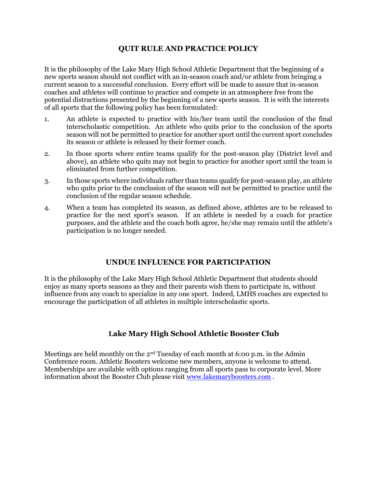#### QUIT RULE AND PRACTICE POLICY

It is the philosophy of the Lake Mary High School Athletic Department that the beginning of a new sports season should not conflict with an in-season coach and/or athlete from bringing a current season to a successful conclusion. Every effort will be made to assure that in-season coaches and athletes will continue to practice and compete in an atmosphere free from the potential distractions presented by the beginning of a new sports season. It is with the interests of all sports that the following policy has been formulated:

- 1. An athlete is expected to practice with his/her team until the conclusion of the final interscholastic competition. An athlete who quits prior to the conclusion of the sports season will not be permitted to practice for another sport until the current sport concludes its season or athlete is released by their former coach.
- 2. In those sports where entire teams qualify for the post-season play (District level and above), an athlete who quits may not begin to practice for another sport until the team is eliminated from further competition.
- 3. In those sports where individuals rather than teams qualify for post-season play, an athlete who quits prior to the conclusion of the season will not be permitted to practice until the conclusion of the regular season schedule.
- 4. When a team has completed its season, as defined above, athletes are to be released to practice for the next sport's season. If an athlete is needed by a coach for practice purposes, and the athlete and the coach both agree, he/she may remain until the athlete's participation is no longer needed.

#### UNDUE INFLUENCE FOR PARTICIPATION

It is the philosophy of the Lake Mary High School Athletic Department that students should enjoy as many sports seasons as they and their parents wish them to participate in, without influence from any coach to specialize in any one sport. Indeed, LMHS coaches are expected to encourage the participation of all athletes in multiple interscholastic sports.

#### Lake Mary High School Athletic Booster Club

Meetings are held monthly on the  $2<sup>nd</sup>$  Tuesday of each month at 6:00 p.m. in the Admin Conference room. Athletic Boosters welcome new members, anyone is welcome to attend. Memberships are available with options ranging from all sports pass to corporate level. More information about the Booster Club please visit www.lakemaryboosters.com .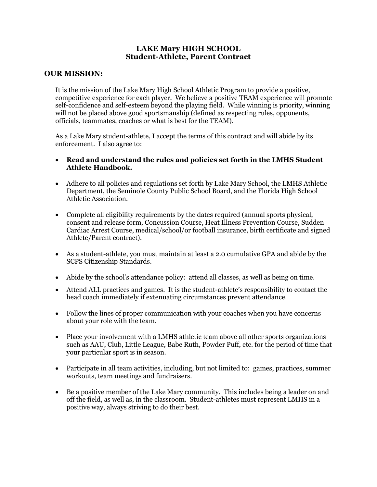#### LAKE Mary HIGH SCHOOL Student-Athlete, Parent Contract

#### OUR MISSION:

It is the mission of the Lake Mary High School Athletic Program to provide a positive, competitive experience for each player. We believe a positive TEAM experience will promote self-confidence and self-esteem beyond the playing field. While winning is priority, winning will not be placed above good sportsmanship (defined as respecting rules, opponents, officials, teammates, coaches or what is best for the TEAM).

As a Lake Mary student-athlete, I accept the terms of this contract and will abide by its enforcement. I also agree to:

- Read and understand the rules and policies set forth in the LMHS Student Athlete Handbook.
- Adhere to all policies and regulations set forth by Lake Mary School, the LMHS Athletic Department, the Seminole County Public School Board, and the Florida High School Athletic Association.
- Complete all eligibility requirements by the dates required (annual sports physical, consent and release form, Concussion Course, Heat Illness Prevention Course, Sudden Cardiac Arrest Course, medical/school/or football insurance, birth certificate and signed Athlete/Parent contract).
- As a student-athlete, you must maintain at least a 2.0 cumulative GPA and abide by the SCPS Citizenship Standards.
- Abide by the school's attendance policy: attend all classes, as well as being on time.
- Attend ALL practices and games. It is the student-athlete's responsibility to contact the head coach immediately if extenuating circumstances prevent attendance.
- Follow the lines of proper communication with your coaches when you have concerns about your role with the team.
- Place your involvement with a LMHS athletic team above all other sports organizations such as AAU, Club, Little League, Babe Ruth, Powder Puff, etc. for the period of time that your particular sport is in season.
- Participate in all team activities, including, but not limited to: games, practices, summer workouts, team meetings and fundraisers.
- Be a positive member of the Lake Mary community. This includes being a leader on and off the field, as well as, in the classroom. Student-athletes must represent LMHS in a positive way, always striving to do their best.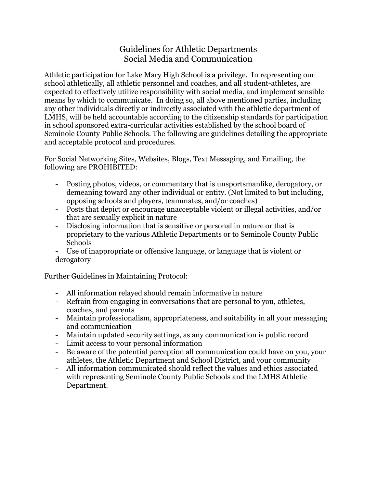### Guidelines for Athletic Departments Social Media and Communication

Athletic participation for Lake Mary High School is a privilege. In representing our school athletically, all athletic personnel and coaches, and all student-athletes, are expected to effectively utilize responsibility with social media, and implement sensible means by which to communicate. In doing so, all above mentioned parties, including any other individuals directly or indirectly associated with the athletic department of LMHS, will be held accountable according to the citizenship standards for participation in school sponsored extra-curricular activities established by the school board of Seminole County Public Schools. The following are guidelines detailing the appropriate and acceptable protocol and procedures.

For Social Networking Sites, Websites, Blogs, Text Messaging, and Emailing, the following are PROHIBITED:

- Posting photos, videos, or commentary that is unsportsmanlike, derogatory, or demeaning toward any other individual or entity. (Not limited to but including, opposing schools and players, teammates, and/or coaches)
- Posts that depict or encourage unacceptable violent or illegal activities, and/or that are sexually explicit in nature
- Disclosing information that is sensitive or personal in nature or that is proprietary to the various Athletic Departments or to Seminole County Public Schools
- Use of inappropriate or offensive language, or language that is violent or derogatory

Further Guidelines in Maintaining Protocol:

- All information relayed should remain informative in nature
- Refrain from engaging in conversations that are personal to you, athletes, coaches, and parents
- Maintain professionalism, appropriateness, and suitability in all your messaging and communication
- Maintain updated security settings, as any communication is public record
- Limit access to your personal information
- Be aware of the potential perception all communication could have on you, your athletes, the Athletic Department and School District, and your community
- All information communicated should reflect the values and ethics associated with representing Seminole County Public Schools and the LMHS Athletic Department.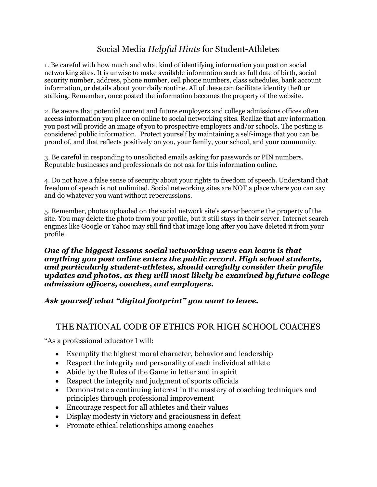# Social Media Helpful Hints for Student-Athletes

1. Be careful with how much and what kind of identifying information you post on social networking sites. It is unwise to make available information such as full date of birth, social security number, address, phone number, cell phone numbers, class schedules, bank account information, or details about your daily routine. All of these can facilitate identity theft or stalking. Remember, once posted the information becomes the property of the website.

2. Be aware that potential current and future employers and college admissions offices often access information you place on online to social networking sites. Realize that any information you post will provide an image of you to prospective employers and/or schools. The posting is considered public information. Protect yourself by maintaining a self-image that you can be proud of, and that reflects positively on you, your family, your school, and your community.

3. Be careful in responding to unsolicited emails asking for passwords or PIN numbers. Reputable businesses and professionals do not ask for this information online.

4. Do not have a false sense of security about your rights to freedom of speech. Understand that freedom of speech is not unlimited. Social networking sites are NOT a place where you can say and do whatever you want without repercussions.

5. Remember, photos uploaded on the social network site's server become the property of the site. You may delete the photo from your profile, but it still stays in their server. Internet search engines like Google or Yahoo may still find that image long after you have deleted it from your profile.

One of the biggest lessons social networking users can learn is that anything you post online enters the public record. High school students, and particularly student-athletes, should carefully consider their profile updates and photos, as they will most likely be examined by future college admission officers, coaches, and employers.

### Ask yourself what "digital footprint" you want to leave.

### THE NATIONAL CODE OF ETHICS FOR HIGH SCHOOL COACHES

"As a professional educator I will:

- Exemplify the highest moral character, behavior and leadership
- Respect the integrity and personality of each individual athlete
- Abide by the Rules of the Game in letter and in spirit
- Respect the integrity and judgment of sports officials
- Demonstrate a continuing interest in the mastery of coaching techniques and principles through professional improvement
- Encourage respect for all athletes and their values
- Display modesty in victory and graciousness in defeat
- Promote ethical relationships among coaches